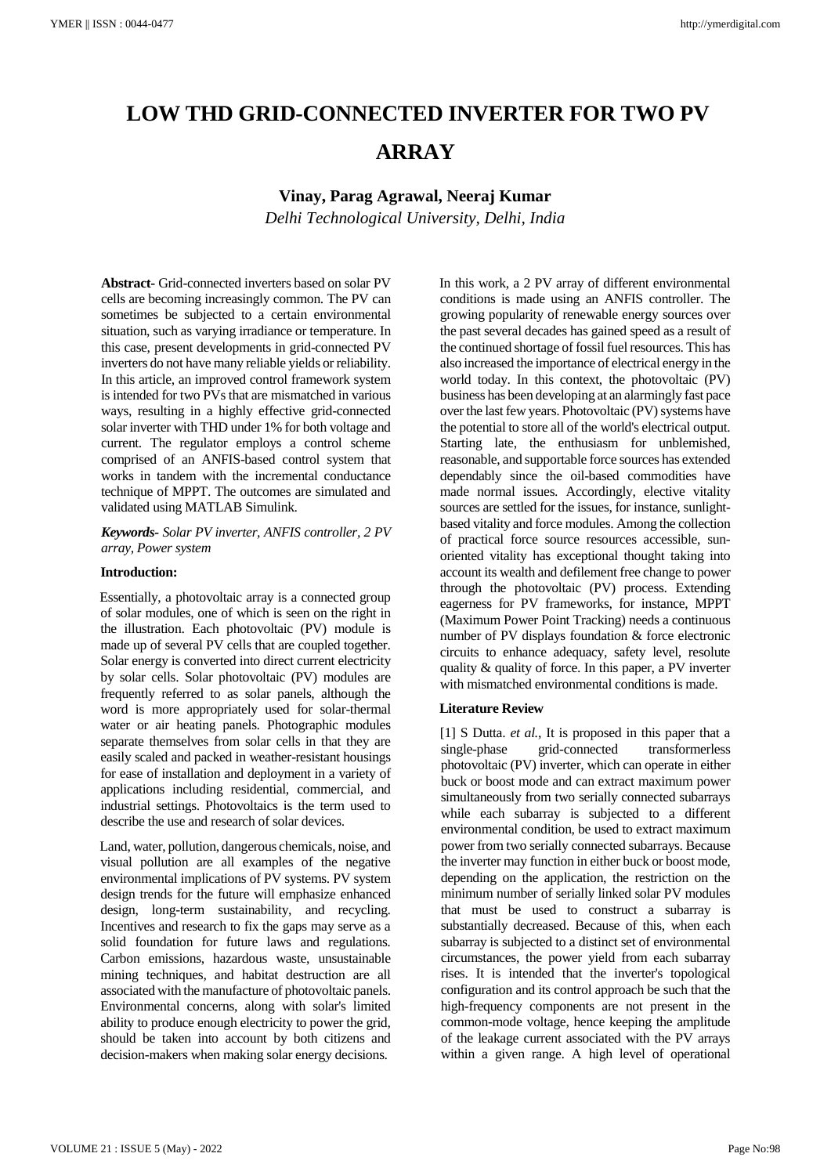# **LOW THD GRID-CONNECTED INVERTER FOR TWO PV ARRAY**

**Vinay, Parag Agrawal, Neeraj Kumar**

*Delhi Technological University, Delhi, India*

**Abstract-** Grid-connected inverters based on solar PV cells are becoming increasingly common. The PV can sometimes be subjected to a certain environmental situation, such as varying irradiance or temperature. In this case, present developments in grid-connected PV inverters do not have many reliable yields or reliability. In this article, an improved control framework system is intended for two PVs that are mismatched in various ways, resulting in a highly effective grid-connected solar inverter with THD under 1% for both voltage and current. The regulator employs a control scheme comprised of an ANFIS-based control system that works in tandem with the incremental conductance technique of MPPT. The outcomes are simulated and validated using MATLAB Simulink.

*Keywords- Solar PV inverter, ANFIS controller, 2 PV array, Power system*

# **Introduction:**

Essentially, a photovoltaic array is a connected group of solar modules, one of which is seen on the right in the illustration. Each photovoltaic (PV) module is made up of several PV cells that are coupled together. Solar energy is converted into direct current electricity by solar cells. Solar photovoltaic (PV) modules are frequently referred to as solar panels, although the word is more appropriately used for solar-thermal water or air heating panels. Photographic modules separate themselves from solar cells in that they are easily scaled and packed in weather-resistant housings for ease of installation and deployment in a variety of applications including residential, commercial, and industrial settings. Photovoltaics is the term used to describe the use and research of solar devices.

Land, water, pollution, dangerous chemicals, noise, and visual pollution are all examples of the negative environmental implications of PV systems. PV system design trends for the future will emphasize enhanced design, long-term sustainability, and recycling. Incentives and research to fix the gaps may serve as a solid foundation for future laws and regulations. Carbon emissions, hazardous waste, unsustainable mining techniques, and habitat destruction are all associated with the manufacture of photovoltaic panels. Environmental concerns, along with solar's limited ability to produce enough electricity to power the grid, should be taken into account by both citizens and decision-makers when making solar energy decisions.

In this work, a 2 PV array of different environmental conditions is made using an ANFIS controller. The growing popularity of renewable energy sources over the past several decades has gained speed as a result of the continued shortage of fossil fuel resources. This has also increased the importance of electrical energy in the world today. In this context, the photovoltaic (PV) business has been developing at an alarmingly fast pace over the last few years. Photovoltaic (PV) systems have the potential to store all of the world's electrical output. Starting late, the enthusiasm for unblemished, reasonable, and supportable force sources has extended dependably since the oil-based commodities have made normal issues. Accordingly, elective vitality sources are settled for the issues, for instance, sunlightbased vitality and force modules. Among the collection of practical force source resources accessible, sunoriented vitality has exceptional thought taking into account its wealth and defilement free change to power through the photovoltaic (PV) process. Extending eagerness for PV frameworks, for instance, MPPT (Maximum Power Point Tracking) needs a continuous number of PV displays foundation & force electronic circuits to enhance adequacy, safety level, resolute quality & quality of force. In this paper, a PV inverter with mismatched environmental conditions is made.

## **Literature Review**

[1] S Dutta. *et al.*, It is proposed in this paper that a single-phase grid-connected transformerless photovoltaic (PV) inverter, which can operate in either buck or boost mode and can extract maximum power simultaneously from two serially connected subarrays while each subarray is subjected to a different environmental condition, be used to extract maximum power from two serially connected subarrays. Because the inverter may function in either buck or boost mode, depending on the application, the restriction on the minimum number of serially linked solar PV modules that must be used to construct a subarray is substantially decreased. Because of this, when each subarray is subjected to a distinct set of environmental circumstances, the power yield from each subarray rises. It is intended that the inverter's topological configuration and its control approach be such that the high-frequency components are not present in the common-mode voltage, hence keeping the amplitude of the leakage current associated with the PV arrays within a given range. A high level of operational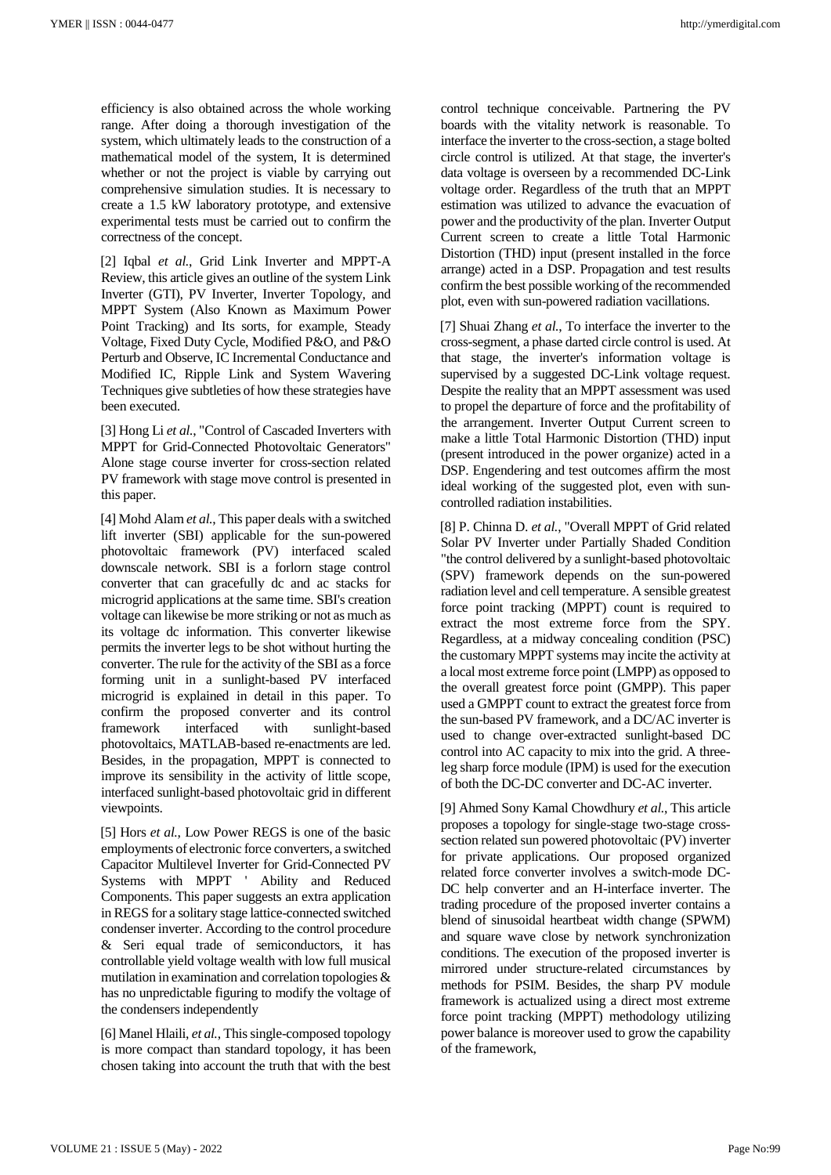efficiency is also obtained across the whole working range. After doing a thorough investigation of the system, which ultimately leads to the construction of a mathematical model of the system, It is determined whether or not the project is viable by carrying out comprehensive simulation studies. It is necessary to create a 1.5 kW laboratory prototype, and extensive experimental tests must be carried out to confirm the correctness of the concept.

[2] Iqbal *et al.*, Grid Link Inverter and MPPT-A Review, this article gives an outline of the system Link Inverter (GTI), PV Inverter, Inverter Topology, and MPPT System (Also Known as Maximum Power Point Tracking) and Its sorts, for example, Steady Voltage, Fixed Duty Cycle, Modified P&O, and P&O Perturb and Observe, IC Incremental Conductance and Modified IC, Ripple Link and System Wavering Techniques give subtleties of how these strategies have been executed.

[3] Hong Li *et al.*, "Control of Cascaded Inverters with MPPT for Grid-Connected Photovoltaic Generators" Alone stage course inverter for cross-section related PV framework with stage move control is presented in this paper.

[4] Mohd Alam *et al.*, This paper deals with a switched lift inverter (SBI) applicable for the sun-powered photovoltaic framework (PV) interfaced scaled downscale network. SBI is a forlorn stage control converter that can gracefully dc and ac stacks for microgrid applications at the same time. SBI's creation voltage can likewise be more striking or not as much as its voltage dc information. This converter likewise permits the inverter legs to be shot without hurting the converter. The rule for the activity of the SBI as a force forming unit in a sunlight-based PV interfaced microgrid is explained in detail in this paper. To confirm the proposed converter and its control framework interfaced with sunlight-based photovoltaics, MATLAB-based re-enactments are led. Besides, in the propagation, MPPT is connected to improve its sensibility in the activity of little scope, interfaced sunlight-based photovoltaic grid in different viewpoints.

[5] Hors *et al.*, Low Power REGS is one of the basic employments of electronic force converters, a switched Capacitor Multilevel Inverter for Grid-Connected PV Systems with MPPT ' Ability and Reduced Components. This paper suggests an extra application in REGS for a solitary stage lattice-connected switched condenser inverter. According to the control procedure & Seri equal trade of semiconductors, it has controllable yield voltage wealth with low full musical mutilation in examination and correlation topologies & has no unpredictable figuring to modify the voltage of the condensers independently

[6] Manel Hlaili, *et al.*, This single-composed topology is more compact than standard topology, it has been chosen taking into account the truth that with the best

control technique conceivable. Partnering the PV boards with the vitality network is reasonable. To interface the inverter to the cross-section, a stage bolted circle control is utilized. At that stage, the inverter's data voltage is overseen by a recommended DC-Link voltage order. Regardless of the truth that an MPPT estimation was utilized to advance the evacuation of power and the productivity of the plan. Inverter Output Current screen to create a little Total Harmonic Distortion (THD) input (present installed in the force arrange) acted in a DSP. Propagation and test results confirm the best possible working of the recommended plot, even with sun-powered radiation vacillations.

[7] Shuai Zhang *et al.*, To interface the inverter to the cross-segment, a phase darted circle control is used. At that stage, the inverter's information voltage is supervised by a suggested DC-Link voltage request. Despite the reality that an MPPT assessment was used to propel the departure of force and the profitability of the arrangement. Inverter Output Current screen to make a little Total Harmonic Distortion (THD) input (present introduced in the power organize) acted in a DSP. Engendering and test outcomes affirm the most ideal working of the suggested plot, even with suncontrolled radiation instabilities.

[8] P. Chinna D. *et al.*, "Overall MPPT of Grid related Solar PV Inverter under Partially Shaded Condition "the control delivered by a sunlight-based photovoltaic (SPV) framework depends on the sun-powered radiation level and cell temperature. A sensible greatest force point tracking (MPPT) count is required to extract the most extreme force from the SPY. Regardless, at a midway concealing condition (PSC) the customary MPPT systems may incite the activity at a local most extreme force point (LMPP) as opposed to the overall greatest force point (GMPP). This paper used a GMPPT count to extract the greatest force from the sun-based PV framework, and a DC/AC inverter is used to change over-extracted sunlight-based DC control into AC capacity to mix into the grid. A threeleg sharp force module (IPM) is used for the execution of both the DC-DC converter and DC-AC inverter.

[9] Ahmed Sony Kamal Chowdhury *et al.*, This article proposes a topology for single-stage two-stage crosssection related sun powered photovoltaic (PV) inverter for private applications. Our proposed organized related force converter involves a switch-mode DC-DC help converter and an H-interface inverter. The trading procedure of the proposed inverter contains a blend of sinusoidal heartbeat width change (SPWM) and square wave close by network synchronization conditions. The execution of the proposed inverter is mirrored under structure-related circumstances by methods for PSIM. Besides, the sharp PV module framework is actualized using a direct most extreme force point tracking (MPPT) methodology utilizing power balance is moreover used to grow the capability of the framework,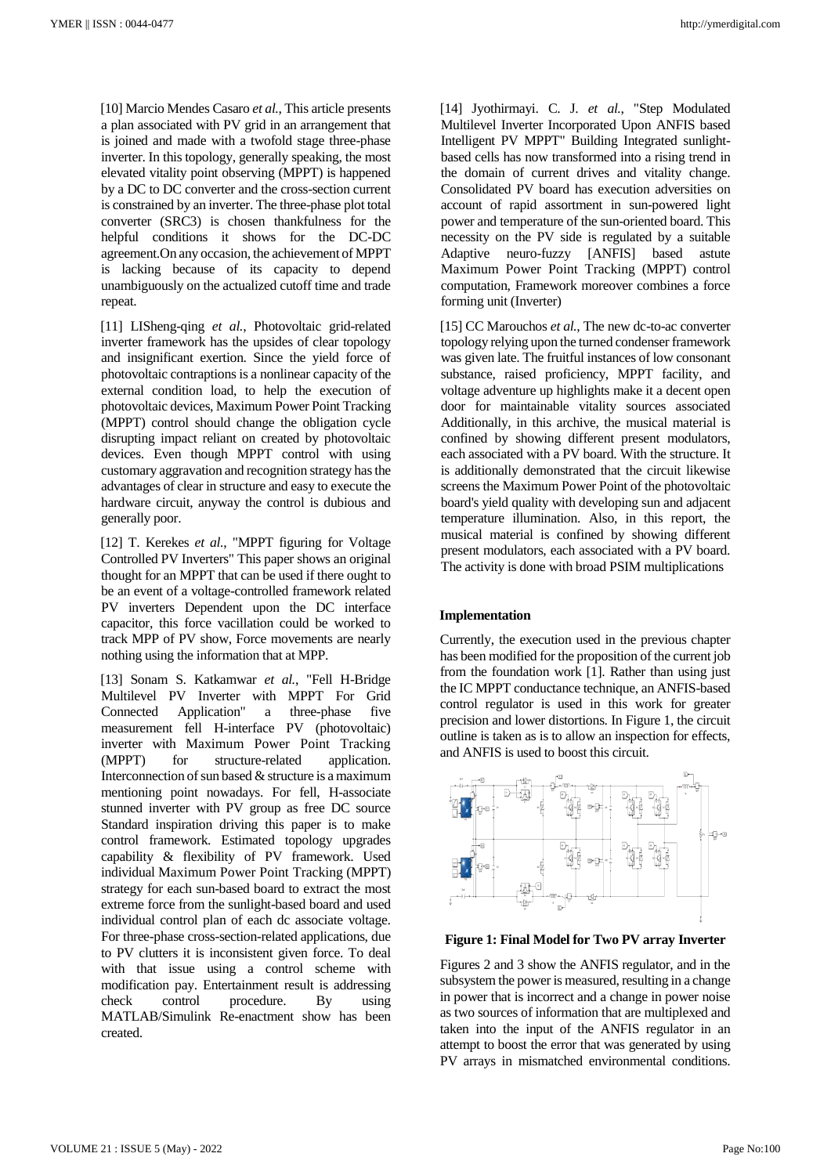[10] Marcio Mendes Casaro *et al.*, This article presents a plan associated with PV grid in an arrangement that is joined and made with a twofold stage three-phase inverter. In this topology, generally speaking, the most elevated vitality point observing (MPPT) is happened by a DC to DC converter and the cross-section current is constrained by an inverter. The three-phase plot total converter (SRC3) is chosen thankfulness for the helpful conditions it shows for the DC-DC agreement.On any occasion, the achievement of MPPT is lacking because of its capacity to depend unambiguously on the actualized cutoff time and trade repeat.

[11] LISheng-qing *et al.*, Photovoltaic grid-related inverter framework has the upsides of clear topology and insignificant exertion. Since the yield force of photovoltaic contraptions is a nonlinear capacity of the external condition load, to help the execution of photovoltaic devices, Maximum Power Point Tracking (MPPT) control should change the obligation cycle disrupting impact reliant on created by photovoltaic devices. Even though MPPT control with using customary aggravation and recognition strategy has the advantages of clear in structure and easy to execute the hardware circuit, anyway the control is dubious and generally poor.

[12] T. Kerekes *et al.*, "MPPT figuring for Voltage Controlled PV Inverters" This paper shows an original thought for an MPPT that can be used if there ought to be an event of a voltage-controlled framework related PV inverters Dependent upon the DC interface capacitor, this force vacillation could be worked to track MPP of PV show, Force movements are nearly nothing using the information that at MPP.

[13] Sonam S. Katkamwar *et al.*, "Fell H-Bridge Multilevel PV Inverter with MPPT For Grid Connected Application" a three-phase five measurement fell H-interface PV (photovoltaic) inverter with Maximum Power Point Tracking (MPPT) for structure-related application. Interconnection of sun based & structure is a maximum mentioning point nowadays. For fell, H-associate stunned inverter with PV group as free DC source Standard inspiration driving this paper is to make control framework. Estimated topology upgrades capability & flexibility of PV framework. Used individual Maximum Power Point Tracking (MPPT) strategy for each sun-based board to extract the most extreme force from the sunlight-based board and used individual control plan of each dc associate voltage. For three-phase cross-section-related applications, due to PV clutters it is inconsistent given force. To deal with that issue using a control scheme with modification pay. Entertainment result is addressing check control procedure. By using MATLAB/Simulink Re-enactment show has been created.

[14] Jyothirmayi. C. J. *et al.*, "Step Modulated Multilevel Inverter Incorporated Upon ANFIS based Intelligent PV MPPT" Building Integrated sunlightbased cells has now transformed into a rising trend in the domain of current drives and vitality change. Consolidated PV board has execution adversities on account of rapid assortment in sun-powered light power and temperature of the sun-oriented board. This necessity on the PV side is regulated by a suitable Adaptive neuro-fuzzy [ANFIS] based astute Maximum Power Point Tracking (MPPT) control computation, Framework moreover combines a force forming unit (Inverter)

[15] CC Marouchos *et al.*, The new dc-to-ac converter topology relying upon the turned condenser framework was given late. The fruitful instances of low consonant substance, raised proficiency, MPPT facility, and voltage adventure up highlights make it a decent open door for maintainable vitality sources associated Additionally, in this archive, the musical material is confined by showing different present modulators, each associated with a PV board. With the structure. It is additionally demonstrated that the circuit likewise screens the Maximum Power Point of the photovoltaic board's yield quality with developing sun and adjacent temperature illumination. Also, in this report, the musical material is confined by showing different present modulators, each associated with a PV board. The activity is done with broad PSIM multiplications

## **Implementation**

Currently, the execution used in the previous chapter has been modified for the proposition of the current job from the foundation work [1]. Rather than using just the IC MPPT conductance technique, an ANFIS-based control regulator is used in this work for greater precision and lower distortions. In Figure 1, the circuit outline is taken as is to allow an inspection for effects, and ANFIS is used to boost this circuit.



# **Figure 1: Final Model for Two PV array Inverter**

Figures 2 and 3 show the ANFIS regulator, and in the subsystem the power is measured, resulting in a change in power that is incorrect and a change in power noise as two sources of information that are multiplexed and taken into the input of the ANFIS regulator in an attempt to boost the error that was generated by using PV arrays in mismatched environmental conditions.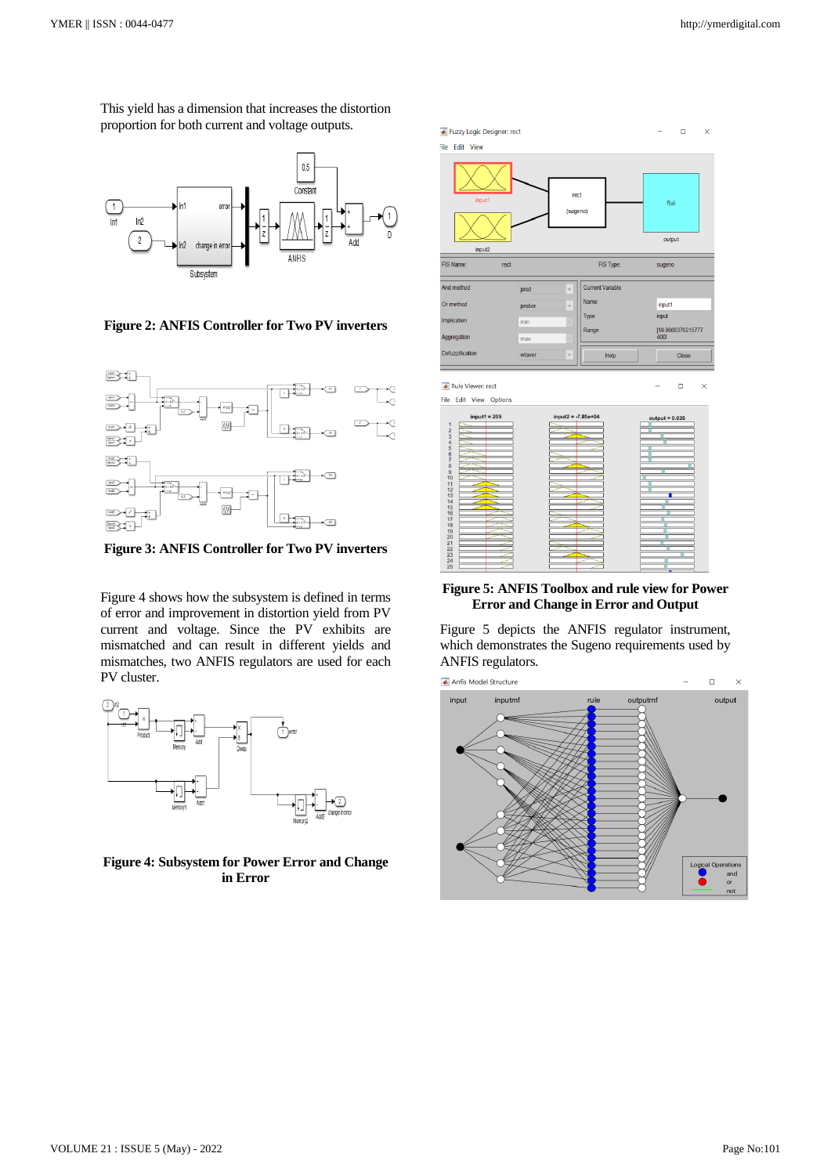This yield has a dimension that increases the distortion proportion for both current and voltage outputs.



**Figure 2: ANFIS Controller for Two PV inverters**



**Figure 3: ANFIS Controller for Two PV inverters**

Figure 4 shows how the subsystem is defined in terms of error and improvement in distortion yield from PV current and voltage. Since the PV exhibits are mismatched and can result in different yields and mismatches, two ANFIS regulators are used for each PV cluster.



**Figure 4: Subsystem for Power Error and Change in Error**

| Fuzzy Logic Designer: rect                                                                       |        |                        |                         |                       | $\Box$            | $\times$ |
|--------------------------------------------------------------------------------------------------|--------|------------------------|-------------------------|-----------------------|-------------------|----------|
| File Edit View                                                                                   |        |                        |                         |                       |                   |          |
| input1                                                                                           |        | rect<br>(sugeno)       |                         | f(u)                  |                   |          |
| input2                                                                                           |        |                        |                         | output                |                   |          |
| FIS Name:<br>rect                                                                                |        |                        | FIS Type:               | sugeno                |                   |          |
| And method                                                                                       | prod   | $\checkmark$           | <b>Current Variable</b> |                       |                   |          |
| Or method                                                                                        | probor | $\checkmark$           | Name                    | input1                |                   |          |
| Implication                                                                                      | min    |                        | Type                    | input                 |                   |          |
| Aggregation                                                                                      | max    |                        | Range                   | 4001                  | [18.9666376215777 |          |
| Defuzzification                                                                                  | wtaver | $\checkmark$           | Help                    |                       | Close             |          |
| Rule Viewer: rect<br>File Edit View Options                                                      |        |                        |                         |                       | $\Box$            | $\times$ |
| $input1 = 209$<br>$\mathbf{1}$<br>2345678<br>$\overline{9}$<br>10<br>11<br>$\frac{12}{13}$<br>14 |        | $input2 = -7.85e + 04$ |                         | $output = 0.635$<br>т |                   |          |

# **Figure 5: ANFIS Toolbox and rule view for Power Error and Change in Error and Output**

Figure 5 depicts the ANFIS regulator instrument, which demonstrates the Sugeno requirements used by ANFIS regulators.

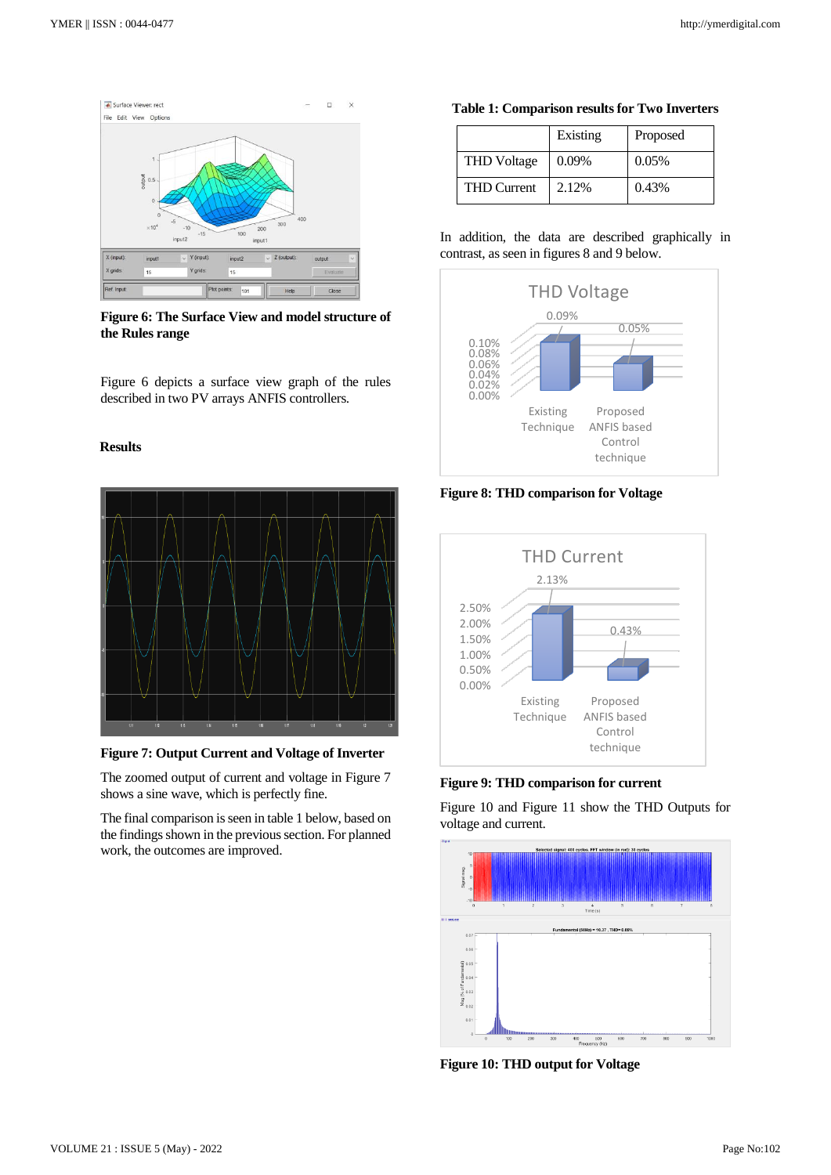

**Figure 6: The Surface View and model structure of the Rules range**

Figure 6 depicts a surface view graph of the rules described in two PV arrays ANFIS controllers.

# **Results**



**Figure 7: Output Current and Voltage of Inverter**

The zoomed output of current and voltage in Figure 7 shows a sine wave, which is perfectly fine.

The final comparison is seen in table 1 below, based on the findings shown in the previous section. For planned work, the outcomes are improved.

#### **Table 1: Comparison results for Two Inverters**

|                    | Existing | Proposed |
|--------------------|----------|----------|
| <b>THD</b> Voltage | $0.09\%$ | 0.05%    |
| <b>THD Current</b> | 2.12%    | 0.43%    |

# In addition, the data are described graphically in contrast, as seen in figures 8 and 9 below.



**Figure 8: THD comparison for Voltage**



**Figure 9: THD comparison for current**

Figure 10 and Figure 11 show the THD Outputs for voltage and current.



**Figure 10: THD output for Voltage**